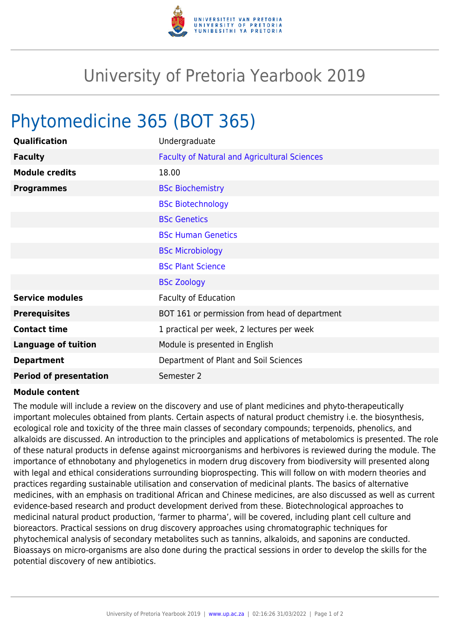

## University of Pretoria Yearbook 2019

## Phytomedicine 365 (BOT 365)

| Qualification                 | Undergraduate                                       |
|-------------------------------|-----------------------------------------------------|
| <b>Faculty</b>                | <b>Faculty of Natural and Agricultural Sciences</b> |
| <b>Module credits</b>         | 18.00                                               |
| <b>Programmes</b>             | <b>BSc Biochemistry</b>                             |
|                               | <b>BSc Biotechnology</b>                            |
|                               | <b>BSc Genetics</b>                                 |
|                               | <b>BSc Human Genetics</b>                           |
|                               | <b>BSc Microbiology</b>                             |
|                               | <b>BSc Plant Science</b>                            |
|                               | <b>BSc Zoology</b>                                  |
| <b>Service modules</b>        | <b>Faculty of Education</b>                         |
| <b>Prerequisites</b>          | BOT 161 or permission from head of department       |
| <b>Contact time</b>           | 1 practical per week, 2 lectures per week           |
| <b>Language of tuition</b>    | Module is presented in English                      |
| <b>Department</b>             | Department of Plant and Soil Sciences               |
| <b>Period of presentation</b> | Semester 2                                          |

## **Module content**

The module will include a review on the discovery and use of plant medicines and phyto-therapeutically important molecules obtained from plants. Certain aspects of natural product chemistry i.e. the biosynthesis, ecological role and toxicity of the three main classes of secondary compounds; terpenoids, phenolics, and alkaloids are discussed. An introduction to the principles and applications of metabolomics is presented. The role of these natural products in defense against microorganisms and herbivores is reviewed during the module. The importance of ethnobotany and phylogenetics in modern drug discovery from biodiversity will presented along with legal and ethical considerations surrounding bioprospecting. This will follow on with modern theories and practices regarding sustainable utilisation and conservation of medicinal plants. The basics of alternative medicines, with an emphasis on traditional African and Chinese medicines, are also discussed as well as current evidence-based research and product development derived from these. Biotechnological approaches to medicinal natural product production, 'farmer to pharma', will be covered, including plant cell culture and bioreactors. Practical sessions on drug discovery approaches using chromatographic techniques for phytochemical analysis of secondary metabolites such as tannins, alkaloids, and saponins are conducted. Bioassays on micro-organisms are also done during the practical sessions in order to develop the skills for the potential discovery of new antibiotics.